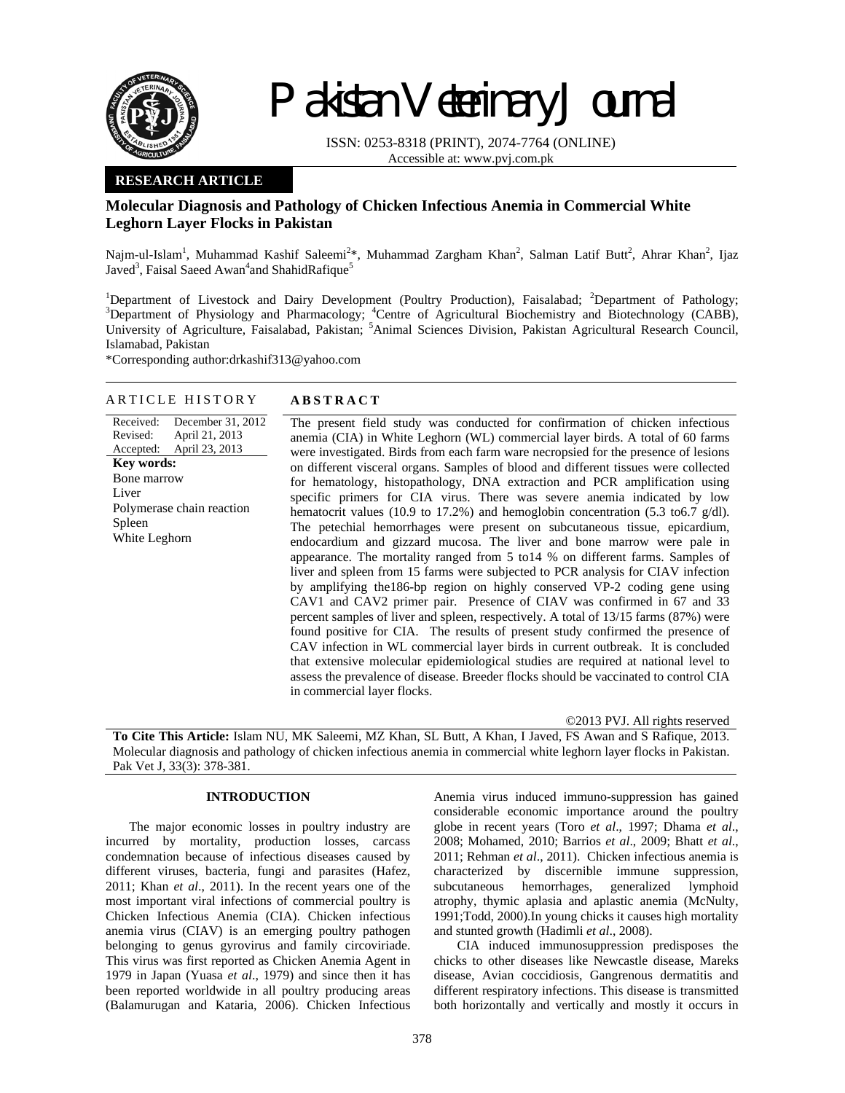

# Pakistan Veterinary Journal

ISSN: 0253-8318 (PRINT), 2074-7764 (ONLINE) Accessible at: www.pvj.com.pk

## **RESEARCH ARTICLE**

# **Molecular Diagnosis and Pathology of Chicken Infectious Anemia in Commercial White Leghorn Layer Flocks in Pakistan**

Najm-ul-Islam<sup>1</sup>, Muhammad Kashif Saleemi<sup>2\*</sup>, Muhammad Zargham Khan<sup>2</sup>, Salman Latif Butt<sup>2</sup>, Ahrar Khan<sup>2</sup>, Ijaz Javed<sup>3</sup>, Faisal Saeed Awan<sup>4</sup>and ShahidRafique<sup>5</sup>

<sup>1</sup>Department of Livestock and Dairy Development (Poultry Production), Faisalabad; <sup>2</sup>Department of Pathology;<br><sup>3</sup>Department of Physiology and Phermocology; <sup>4</sup>Centre of Agricultural Biochemistry and Biotechnology; (CABB) Department of Physiology and Pharmacology; <sup>4</sup>Centre of Agricultural Biochemistry and Biotechnology (CABB), University of Agriculture, Faisalabad, Pakistan; <sup>5</sup>Animal Sciences Division, Pakistan Agricultural Research Council, Islamabad, Pakistan

\*Corresponding author:drkashif313@yahoo.com

#### ARTICLE HISTORY **ABSTRACT**  Received: December 31, 2012

Revised: Accepted: April 21, 2013 April 23, 2013 **Key words:**  Bone marrow Liver Polymerase chain reaction Spleen White Leghorn

The present field study was conducted for confirmation of chicken infectious anemia (CIA) in White Leghorn (WL) commercial layer birds. A total of 60 farms were investigated. Birds from each farm ware necropsied for the presence of lesions on different visceral organs. Samples of blood and different tissues were collected for hematology, histopathology, DNA extraction and PCR amplification using specific primers for CIA virus. There was severe anemia indicated by low hematocrit values (10.9 to 17.2%) and hemoglobin concentration (5.3 to 6.7 g/dl). The petechial hemorrhages were present on subcutaneous tissue, epicardium, endocardium and gizzard mucosa. The liver and bone marrow were pale in appearance. The mortality ranged from 5 to14 % on different farms. Samples of liver and spleen from 15 farms were subjected to PCR analysis for CIAV infection by amplifying the186-bp region on highly conserved VP-2 coding gene using CAV1 and CAV2 primer pair. Presence of CIAV was confirmed in 67 and 33 percent samples of liver and spleen, respectively. A total of 13/15 farms (87%) were found positive for CIA. The results of present study confirmed the presence of CAV infection in WL commercial layer birds in current outbreak. It is concluded that extensive molecular epidemiological studies are required at national level to assess the prevalence of disease. Breeder flocks should be vaccinated to control CIA in commercial layer flocks.

©2013 PVJ. All rights reserved

**To Cite This Article:** Islam NU, MK Saleemi, MZ Khan, SL Butt, A Khan, I Javed, FS Awan and S Rafique, 2013. Molecular diagnosis and pathology of chicken infectious anemia in commercial white leghorn layer flocks in Pakistan. Pak Vet J, 33(3): 378-381.

## **INTRODUCTION**

The major economic losses in poultry industry are incurred by mortality, production losses, carcass condemnation because of infectious diseases caused by different viruses, bacteria, fungi and parasites (Hafez, 2011; Khan *et al*., 2011). In the recent years one of the most important viral infections of commercial poultry is Chicken Infectious Anemia (CIA). Chicken infectious anemia virus (CIAV) is an emerging poultry pathogen belonging to genus gyrovirus and family circoviriade. This virus was first reported as Chicken Anemia Agent in 1979 in Japan (Yuasa *et al*., 1979) and since then it has been reported worldwide in all poultry producing areas (Balamurugan and Kataria, 2006). Chicken Infectious

Anemia virus induced immuno-suppression has gained considerable economic importance around the poultry globe in recent years (Toro *et al*., 1997; Dhama *et al*., 2008; Mohamed, 2010; Barrios *et al*., 2009; Bhatt *et al*., 2011; Rehman *et al*., 2011). Chicken infectious anemia is characterized by discernible immune suppression, subcutaneous hemorrhages, generalized lymphoid atrophy, thymic aplasia and aplastic anemia (McNulty, 1991;Todd, 2000).In young chicks it causes high mortality and stunted growth (Hadimli *et al*., 2008).

CIA induced immunosuppression predisposes the chicks to other diseases like Newcastle disease, Mareks disease, Avian coccidiosis, Gangrenous dermatitis and different respiratory infections. This disease is transmitted both horizontally and vertically and mostly it occurs in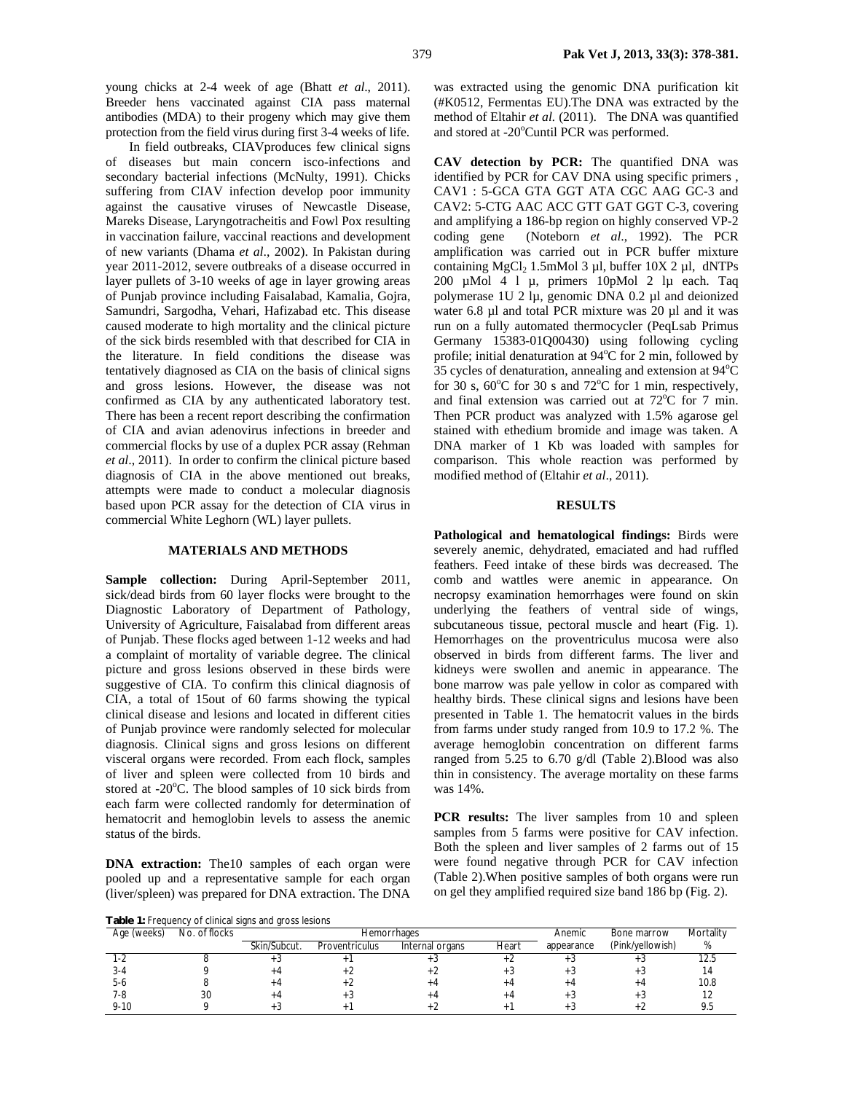young chicks at 2-4 week of age (Bhatt *et al*., 2011). Breeder hens vaccinated against CIA pass maternal antibodies (MDA) to their progeny which may give them protection from the field virus during first 3-4 weeks of life.

In field outbreaks, CIAVproduces few clinical signs of diseases but main concern isco-infections and secondary bacterial infections (McNulty, 1991). Chicks suffering from CIAV infection develop poor immunity against the causative viruses of Newcastle Disease, Mareks Disease, Laryngotracheitis and Fowl Pox resulting in vaccination failure, vaccinal reactions and development of new variants (Dhama *et al*., 2002). In Pakistan during year 2011-2012, severe outbreaks of a disease occurred in layer pullets of 3-10 weeks of age in layer growing areas of Punjab province including Faisalabad, Kamalia, Gojra, Samundri, Sargodha, Vehari, Hafizabad etc. This disease caused moderate to high mortality and the clinical picture of the sick birds resembled with that described for CIA in the literature. In field conditions the disease was tentatively diagnosed as CIA on the basis of clinical signs and gross lesions. However, the disease was not confirmed as CIA by any authenticated laboratory test. There has been a recent report describing the confirmation of CIA and avian adenovirus infections in breeder and commercial flocks by use of a duplex PCR assay (Rehman *et al*., 2011). In order to confirm the clinical picture based diagnosis of CIA in the above mentioned out breaks, attempts were made to conduct a molecular diagnosis based upon PCR assay for the detection of CIA virus in commercial White Leghorn (WL) layer pullets.

### **MATERIALS AND METHODS**

**Sample collection:** During April-September 2011, sick/dead birds from 60 layer flocks were brought to the Diagnostic Laboratory of Department of Pathology, University of Agriculture, Faisalabad from different areas of Punjab. These flocks aged between 1-12 weeks and had a complaint of mortality of variable degree. The clinical picture and gross lesions observed in these birds were suggestive of CIA. To confirm this clinical diagnosis of CIA, a total of 15out of 60 farms showing the typical clinical disease and lesions and located in different cities of Punjab province were randomly selected for molecular diagnosis. Clinical signs and gross lesions on different visceral organs were recorded. From each flock, samples of liver and spleen were collected from 10 birds and stored at -20 $\degree$ C. The blood samples of 10 sick birds from each farm were collected randomly for determination of hematocrit and hemoglobin levels to assess the anemic status of the birds.

**DNA** extraction: The10 samples of each organ were pooled up and a representative sample for each organ (liver/spleen) was prepared for DNA extraction. The DNA

was extracted using the genomic DNA purification kit (#K0512, Fermentas EU).The DNA was extracted by the method of Eltahir *et al.* (2011). The DNA was quantified and stored at -20°Cuntil PCR was performed.

**CAV detection by PCR:** The quantified DNA was identified by PCR for CAV DNA using specific primers , CAV1 : 5-GCA GTA GGT ATA CGC AAG GC-3 and CAV2: 5-CTG AAC ACC GTT GAT GGT C-3, covering and amplifying a 186-bp region on highly conserved VP-2 coding gene (Noteborn *et al*., 1992). The PCR amplification was carried out in PCR buffer mixture containing  $MgCl<sub>2</sub> 1.5mMol 3 µl$ , buffer  $10X 2 µl$ , dNTPs 200 µMol 4 l µ, primers 10pMol 2 lµ each. Taq polymerase 1U 2 lµ, genomic DNA 0.2 µl and deionized water 6.8 µl and total PCR mixture was 20 µl and it was run on a fully automated thermocycler (PeqLsab Primus Germany 15383-01Q00430) using following cycling profile; initial denaturation at  $94^{\circ}$ C for 2 min, followed by  $35$  cycles of denaturation, annealing and extension at  $94^{\circ}$ C for 30 s,  $60^{\circ}$ C for 30 s and  $72^{\circ}$ C for 1 min, respectively, and final extension was carried out at  $72^{\circ}$ C for 7 min. Then PCR product was analyzed with 1.5% agarose gel stained with ethedium bromide and image was taken. A DNA marker of 1 Kb was loaded with samples for comparison. This whole reaction was performed by modified method of (Eltahir *et al*., 2011).

## **RESULTS**

**Pathological and hematological findings:** Birds were severely anemic, dehydrated, emaciated and had ruffled feathers. Feed intake of these birds was decreased. The comb and wattles were anemic in appearance. On necropsy examination hemorrhages were found on skin underlying the feathers of ventral side of wings, subcutaneous tissue, pectoral muscle and heart (Fig. 1). Hemorrhages on the proventriculus mucosa were also observed in birds from different farms. The liver and kidneys were swollen and anemic in appearance. The bone marrow was pale yellow in color as compared with healthy birds. These clinical signs and lesions have been presented in Table 1. The hematocrit values in the birds from farms under study ranged from 10.9 to 17.2 %. The average hemoglobin concentration on different farms ranged from 5.25 to 6.70 g/dl (Table 2).Blood was also thin in consistency. The average mortality on these farms was 14%.

**PCR** results: The liver samples from 10 and spleen samples from 5 farms were positive for CAV infection. Both the spleen and liver samples of 2 farms out of 15 were found negative through PCR for CAV infection (Table 2).When positive samples of both organs were run on gel they amplified required size band 186 bp (Fig. 2).

**Table 1: Frequency of clinical signs and gross lesions** 

| <b>Table 1.</b> I requested or control signs and gross resions |               |              |                |                    |        |             |                  |      |  |  |  |
|----------------------------------------------------------------|---------------|--------------|----------------|--------------------|--------|-------------|------------------|------|--|--|--|
| Age (weeks)                                                    | No. of flocks |              |                | <b>Hemorrhages</b> | Anemic | Bone marrow | Mortality        |      |  |  |  |
|                                                                |               | Skin/Subcut. | Proventriculus | Internal organs    | Heart  | appearance  | (Pink/yellowish) | %    |  |  |  |
|                                                                |               | + ت          |                |                    |        |             |                  | 12.5 |  |  |  |
|                                                                |               | +4           |                |                    |        |             |                  |      |  |  |  |
| 5-6                                                            |               | +4           |                |                    |        |             |                  | 10.8 |  |  |  |
| 7-8                                                            | 30            | +4           |                |                    |        |             |                  |      |  |  |  |
| $9 - 10$                                                       |               |              |                |                    |        |             |                  |      |  |  |  |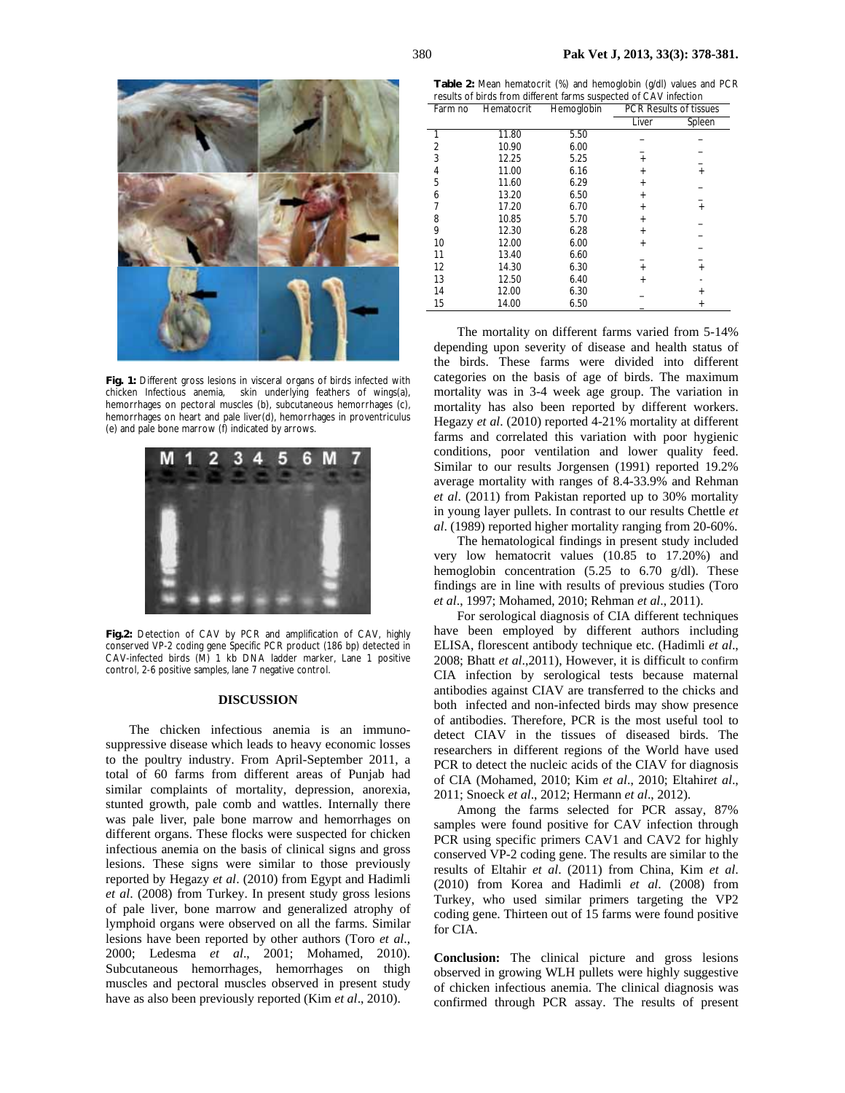

**Fig. 1:** Different gross lesions in visceral organs of birds infected with chicken Infectious anemia, skin underlying feathers of wings(a), hemorrhages on pectoral muscles (b), subcutaneous hemorrhages (c), hemorrhages on heart and pale liver(d), hemorrhages in proventriculus (e) and pale bone marrow (f) indicated by arrows.



**Fig.2:** Detection of CAV by PCR and amplification of CAV, highly conserved VP-2 coding gene Specific PCR product (186 bp) detected in CAV-infected birds (M) 1 kb DNA ladder marker, Lane 1 positive control, 2-6 positive samples, lane 7 negative control.

#### **DISCUSSION**

The chicken infectious anemia is an immunosuppressive disease which leads to heavy economic losses to the poultry industry. From April-September 2011, a total of 60 farms from different areas of Punjab had similar complaints of mortality, depression, anorexia, stunted growth, pale comb and wattles. Internally there was pale liver, pale bone marrow and hemorrhages on different organs. These flocks were suspected for chicken infectious anemia on the basis of clinical signs and gross lesions. These signs were similar to those previously reported by Hegazy *et al*. (2010) from Egypt and Hadimli *et al*. (2008) from Turkey. In present study gross lesions of pale liver, bone marrow and generalized atrophy of lymphoid organs were observed on all the farms. Similar lesions have been reported by other authors (Toro *et al*., 2000; Ledesma *et al*., 2001; Mohamed, 2010). Subcutaneous hemorrhages, hemorrhages on thigh muscles and pectoral muscles observed in present study have as also been previously reported (Kim *et al*., 2010).

**Table 2:** Mean hematocrit (%) and hemoglobin (g/dl) values and PCR results of birds from different farms suspected of CAV infection

| Farm no | Hematocrit | Hemoglobin | <b>PCR Results of tissues</b> |           |
|---------|------------|------------|-------------------------------|-----------|
|         |            |            | Liver                         | Spleen    |
|         | 11.80      | 5.50       |                               |           |
| 2       | 10.90      | 6.00       |                               |           |
| 3       | 12.25      | 5.25       | $\ddot{}$                     |           |
| 4       | 11.00      | 6.16       | $\ddot{}$                     | $\ddot{}$ |
| 5       | 11.60      | 6.29       | $\ddot{}$                     |           |
| 6       | 13.20      | 6.50       | $\ddot{}$                     |           |
| 7       | 17.20      | 6.70       | $\ddot{}$                     | $\ddot{}$ |
| 8       | 10.85      | 5.70       | $\ddot{}$                     |           |
| 9       | 12.30      | 6.28       | $\ddot{}$                     |           |
| 10      | 12.00      | 6.00       | $\ddot{}$                     |           |
| 11      | 13.40      | 6.60       |                               |           |
| 12      | 14.30      | 6.30       | $+$                           | $+$       |
| 13      | 12.50      | 6.40       | $\ddot{}$                     |           |
| 14      | 12.00      | 6.30       |                               | $\pmb{+}$ |
| 15      | 14.00      | 6.50       |                               |           |

The mortality on different farms varied from 5-14% depending upon severity of disease and health status of the birds. These farms were divided into different categories on the basis of age of birds. The maximum mortality was in 3-4 week age group. The variation in mortality has also been reported by different workers. Hegazy *et al*. (2010) reported 4-21% mortality at different farms and correlated this variation with poor hygienic conditions, poor ventilation and lower quality feed. Similar to our results Jorgensen (1991) reported 19.2% average mortality with ranges of 8.4-33.9% and Rehman *et al*. (2011) from Pakistan reported up to 30% mortality in young layer pullets. In contrast to our results Chettle *et al*. (1989) reported higher mortality ranging from 20-60%.

The hematological findings in present study included very low hematocrit values (10.85 to 17.20%) and hemoglobin concentration  $(5.25 \text{ to } 6.70 \text{ g/dl})$ . These findings are in line with results of previous studies (Toro *et al*., 1997; Mohamed, 2010; Rehman *et al*., 2011).

For serological diagnosis of CIA different techniques have been employed by different authors including ELISA, florescent antibody technique etc. (Hadimli *et al*., 2008; Bhatt *et al*.,2011), However, it is difficult to confirm CIA infection by serological tests because maternal antibodies against CIAV are transferred to the chicks and both infected and non-infected birds may show presence of antibodies. Therefore, PCR is the most useful tool to detect CIAV in the tissues of diseased birds. The researchers in different regions of the World have used PCR to detect the nucleic acids of the CIAV for diagnosis of CIA (Mohamed, 2010; Kim *et al*., 2010; Eltahir*et al*., 2011; Snoeck *et al*., 2012; Hermann *et al*., 2012).

Among the farms selected for PCR assay, 87% samples were found positive for CAV infection through PCR using specific primers CAV1 and CAV2 for highly conserved VP-2 coding gene. The results are similar to the results of Eltahir *et al*. (2011) from China, Kim *et al*. (2010) from Korea and Hadimli *et al*. (2008) from Turkey, who used similar primers targeting the VP2 coding gene. Thirteen out of 15 farms were found positive for CIA.

**Conclusion:** The clinical picture and gross lesions observed in growing WLH pullets were highly suggestive of chicken infectious anemia. The clinical diagnosis was confirmed through PCR assay. The results of present